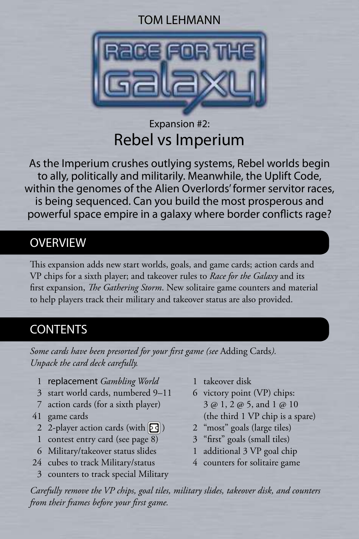#### TOM LEHMANN



# Expansion #2: Rebel vs Imperium

As the Imperium crushes outlying systems, Rebel worlds begin to ally, politically and militarily. Meanwhile, the Uplift Code, within the genomes of the Alien Overlords' former servitor races, is being sequenced. Can you build the most prosperous and powerful space empire in a galaxy where border conflicts rage?

### OVERVIEW

This expansion adds new start worlds, goals, and game cards; action cards and VP chips for a sixth player; and takeover rules to *Race for the Galaxy* and its first expansion, *The Gathering Storm*. New solitaire game counters and material to help players track their military and takeover status are also provided.

# **CONTENTS**

*Some cards have been presorted for your first game (see* Adding Cards*). Unpack the card deck carefully.*

- 1 replacement *Gambling World*
- 3 start world cards, numbered 9–11
- 7 action cards (for a sixth player)
- 41 game cards
	- 2 2-player action cards (with  $\boxed{5}$ )
	- 1 contest entry card (see page 8)
	- 6 Military/takeover status slides
- 24 cubes to track Military/status
- 3 counters to track special Military
- 1 takeover disk
- 6 victory point (VP) chips: 3 @ 1, 2 @ 5, and 1 @ 10 (the third 1 VP chip is a spare)
- 2 "most" goals (large tiles)
- 3 "first" goals (small tiles)
- 1 additional 3 VP goal chip
- 4 counters for solitaire game

*Carefully remove the VP chips, goal tiles, military slides, takeover disk, and counters from their frames before your first game.*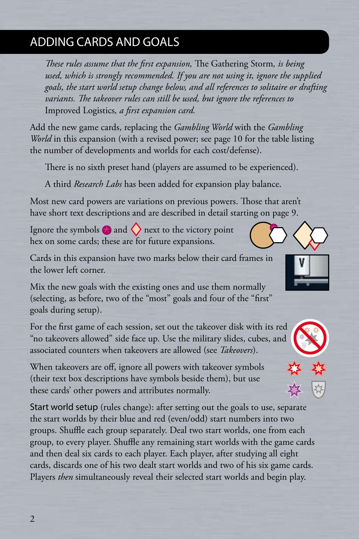# ADDING CARDS AND GOALS

*These rules assume that the first expansion,* The Gathering Storm*, is being used, which is strongly recommended. If you are not using it, ignore the supplied goals, the start world setup change below, and all references to solitaire or drafting variants. The takeover rules can still be used, but ignore the references to*  Improved Logistics*, a first expansion card.*

Add the new game cards, replacing the *Gambling World* with the *Gambling World* in this expansion (with a revised power; see page 10 for the table listing the number of developments and worlds for each cost/defense).

There is no sixth preset hand (players are assumed to be experienced).

A third *Research Labs* has been added for expansion play balance.

Most new card powers are variations on previous powers. Those that aren't have short text descriptions and are described in detail starting on page 9.

Ignore the symbols  $\bigotimes$  and  $\bigotimes$  next to the victory point hex on some cards; these are for future expansions.

Cards in this expansion have two marks below their card frames in the lower left corner.

Mix the new goals with the existing ones and use them normally (selecting, as before, two of the "most" goals and four of the "first" goals during setup).

For the first game of each session, set out the takeover disk with its red "no takeovers allowed" side face up. Use the military slides, cubes, and associated counters when takeovers are allowed (see *Takeovers*).

When takeovers are off, ignore all powers with takeover symbols (their text box descriptions have symbols beside them), but use these cards' other powers and attributes normally.

Start world setup (rules change): after setting out the goals to use, separate the start worlds by their blue and red (even/odd) start numbers into two groups. Shuffle each group separately. Deal two start worlds, one from each group, to every player. Shuffle any remaining start worlds with the game cards and then deal six cards to each player. Each player, after studying all eight cards, discards one of his two dealt start worlds and two of his six game cards. Players *then* simultaneously reveal their selected start worlds and begin play.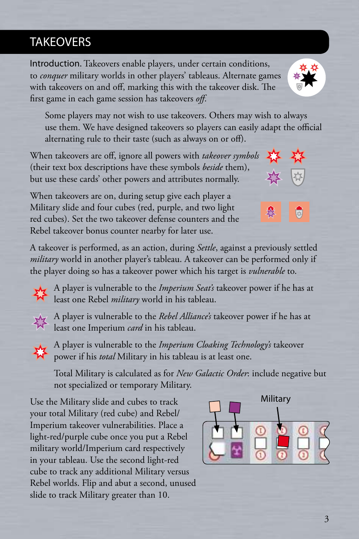# **TAKEOVERS**

Introduction. Takeovers enable players, under certain conditions, to *conquer* military worlds in other players' tableaus. Alternate games with takeovers on and off, marking this with the takeover disk. The first game in each game session has takeovers *off*.

Some players may not wish to use takeovers. Others may wish to always use them. We have designed takeovers so players can easily adapt the official alternating rule to their taste (such as always on or off).

When takeovers are off, ignore all powers with *takeover symbols* (their text box descriptions have these symbols *beside* them), but use these cards' other powers and attributes normally.

When takeovers are on, during setup give each player a Military slide and four cubes (red, purple, and two light red cubes). Set the two takeover defense counters and the Rebel takeover bonus counter nearby for later use.

A takeover is performed, as an action, during *Settle*, against a previously settled *military* world in another player's tableau. A takeover can be performed only if the player doing so has a takeover power which his target is *vulnerable* to.

A player is vulnerable to the *Imperium Seat's* takeover power if he has at least one Rebel *military* world in his tableau.

A player is vulnerable to the *Rebel Alliance's* takeover power if he has at least one Imperium *card* in his tableau.



A player is vulnerable to the *Imperium Cloaking Technology's* takeover power if his *total* Military in his tableau is at least one.

Total Military is calculated as for *New Galactic Order*: include negative but not specialized or temporary Military.

Use the Military slide and cubes to track your total Military (red cube) and Rebel/ Imperium takeover vulnerabilities. Place a light-red/purple cube once you put a Rebel military world/Imperium card respectively in your tableau. Use the second light-red cube to track any additional Military versus Rebel worlds. Flip and abut a second, unused slide to track Military greater than 10.









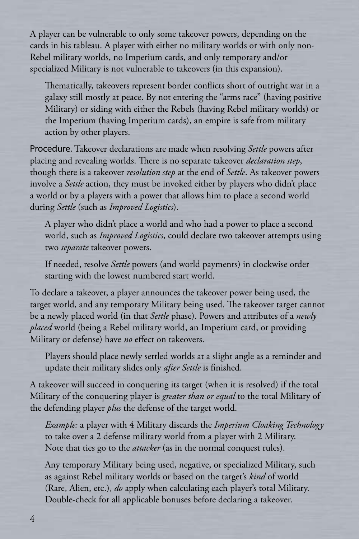A player can be vulnerable to only some takeover powers, depending on the cards in his tableau. A player with either no military worlds or with only non-Rebel military worlds, no Imperium cards, and only temporary and/or specialized Military is not vulnerable to takeovers (in this expansion).

Thematically, takeovers represent border conflicts short of outright war in a galaxy still mostly at peace. By not entering the "arms race" (having positive Military) or siding with either the Rebels (having Rebel military worlds) or the Imperium (having Imperium cards), an empire is safe from military action by other players.

Procedure. Takeover declarations are made when resolving *Settle* powers after placing and revealing worlds. There is no separate takeover *declaration step*, though there is a takeover *resolution step* at the end of *Settle*. As takeover powers involve a *Settle* action, they must be invoked either by players who didn't place a world or by a players with a power that allows him to place a second world during *Settle* (such as *Improved Logistics*).

A player who didn't place a world and who had a power to place a second world, such as *Improved Logistics*, could declare two takeover attempts using two *separate* takeover powers.

If needed, resolve *Settle* powers (and world payments) in clockwise order starting with the lowest numbered start world.

To declare a takeover, a player announces the takeover power being used, the target world, and any temporary Military being used. The takeover target cannot be a newly placed world (in that *Settle* phase). Powers and attributes of a *newly placed* world (being a Rebel military world, an Imperium card, or providing Military or defense) have *no* effect on takeovers.

Players should place newly settled worlds at a slight angle as a reminder and update their military slides only *after Settle* is finished.

A takeover will succeed in conquering its target (when it is resolved) if the total Military of the conquering player is *greater than or equal* to the total Military of the defending player *plus* the defense of the target world.

*Example:* a player with 4 Military discards the *Imperium Cloaking Technology* to take over a 2 defense military world from a player with 2 Military. Note that ties go to the *attacker* (as in the normal conquest rules).

Any temporary Military being used, negative, or specialized Military, such as against Rebel military worlds or based on the target's *kind* of world (Rare, Alien, etc.), *do* apply when calculating each player's total Military. Double-check for all applicable bonuses before declaring a takeover.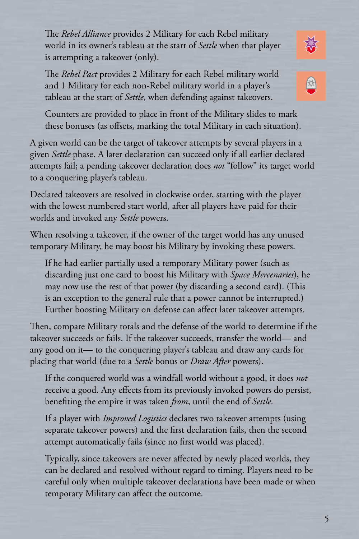The *Rebel Alliance* provides 2 Military for each Rebel military world in its owner's tableau at the start of *Settle* when that player is attempting a takeover (only).

The *Rebel Pact* provides 2 Military for each Rebel military world and 1 Military for each non-Rebel military world in a player's tableau at the start of *Settle*, when defending against takeovers.

Counters are provided to place in front of the Military slides to mark these bonuses (as offsets, marking the total Military in each situation).

A given world can be the target of takeover attempts by several players in a given *Settle* phase. A later declaration can succeed only if all earlier declared attempts fail; a pending takeover declaration does *not* "follow" its target world to a conquering player's tableau.

Declared takeovers are resolved in clockwise order, starting with the player with the lowest numbered start world, after all players have paid for their worlds and invoked any *Settle* powers.

When resolving a takeover, if the owner of the target world has any unused temporary Military, he may boost his Military by invoking these powers.

If he had earlier partially used a temporary Military power (such as discarding just one card to boost his Military with *Space Mercenaries*), he may now use the rest of that power (by discarding a second card). (This is an exception to the general rule that a power cannot be interrupted.) Further boosting Military on defense can affect later takeover attempts.

Then, compare Military totals and the defense of the world to determine if the takeover succeeds or fails. If the takeover succeeds, transfer the world— and any good on it— to the conquering player's tableau and draw any cards for placing that world (due to a *Settle* bonus or *Draw After* powers).

If the conquered world was a windfall world without a good, it does *not* receive a good. Any effects from its previously invoked powers do persist, benefiting the empire it was taken *from*, until the end of *Settle*.

If a player with *Improved Logistics* declares two takeover attempts (using separate takeover powers) and the first declaration fails, then the second attempt automatically fails (since no first world was placed).

Typically, since takeovers are never affected by newly placed worlds, they can be declared and resolved without regard to timing. Players need to be careful only when multiple takeover declarations have been made or when temporary Military can affect the outcome.



發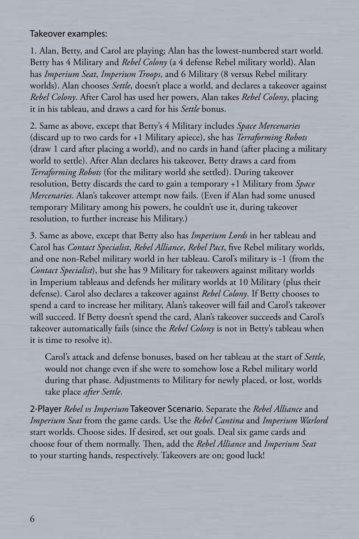#### Takeover examples:

1. Alan, Betty, and Carol are playing; Alan has the lowest-numbered start world. Betty has 4 Military and *Rebel Colony* (a 4 defense Rebel military world). Alan has *Imperium Seat*, *Imperium Troops*, and 6 Military (8 versus Rebel military worlds). Alan chooses *Settle*, doesn't place a world, and declares a takeover against *Rebel Colony*. After Carol has used her powers, Alan takes *Rebel Colony*, placing it in his tableau, and draws a card for his *Settle* bonus.

2. Same as above, except that Betty's 4 Military includes *Space Mercenaries* (discard up to two cards for +1 Military apiece), she has *Terraforming Robots* (draw 1 card after placing a world), and no cards in hand (after placing a military world to settle). After Alan declares his takeover, Betty draws a card from *Terraforming Robots* (for the military world she settled). During takeover resolution, Betty discards the card to gain a temporary +1 Military from *Space Mercenaries*. Alan's takeover attempt now fails. (Even if Alan had some unused temporary Military among his powers, he couldn't use it, during takeover resolution, to further increase his Military.)

3. Same as above, except that Betty also has *Imperium Lords* in her tableau and Carol has *Contact Specialist*, *Rebel Alliance*, *Rebel Pact*, five Rebel military worlds, and one non-Rebel military world in her tableau. Carol's military is -1 (from the *Contact Specialist*), but she has 9 Military for takeovers against military worlds in Imperium tableaus and defends her military worlds at 10 Military (plus their defense). Carol also declares a takeover against *Rebel Colony*. If Betty chooses to spend a card to increase her military, Alan's takeover will fail and Carol's takeover will succeed. If Betty doesn't spend the card, Alan's takeover succeeds and Carol's takeover automatically fails (since the *Rebel Colony* is not in Betty's tableau when it is time to resolve it).

Carol's attack and defense bonuses, based on her tableau at the start of *Settle*, would not change even if she were to somehow lose a Rebel military world during that phase. Adjustments to Military for newly placed, or lost, worlds take place *after Settle*.

2-Player *Rebel vs Imperium* Takeover Scenario. Separate the *Rebel Alliance* and *Imperium Seat* from the game cards. Use the *Rebel Cantina* and *Imperium Warlord* start worlds. Choose sides. If desired, set out goals. Deal six game cards and choose four of them normally. Then, add the *Rebel Alliance* and *Imperium Seat* to your starting hands, respectively. Takeovers are on; good luck!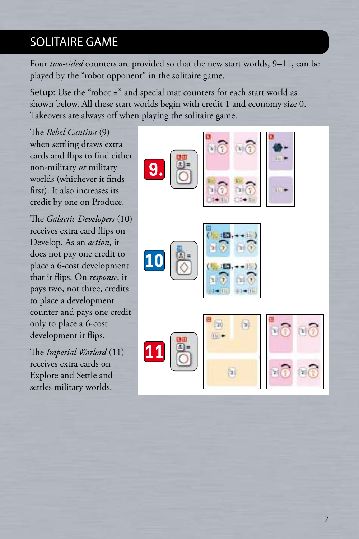### SOLITAIRE GAME

Four *two-sided* counters are provided so that the new start worlds, 9–11, can be played by the "robot opponent" in the solitaire game.

Setup: Use the "robot =" and special mat counters for each start world as shown below. All these start worlds begin with credit 1 and economy size 0. Takeovers are always off when playing the solitaire game.

The *Rebel Cantina* (9) when settling draws extra cards and flips to find either non-military *or* military worlds (whichever it finds first). It also increases its credit by one on Produce.

The *Galactic Developers* (10) receives extra card flips on Develop. As an *action*, it does not pay one credit to place a 6-cost development that it flips. On *response*, it pays two, not three, credits to place a development counter and pays one credit only to place a 6-cost development it flips.

The *Imperial Warlord* (11) receives extra cards on Explore and Settle and settles military worlds.

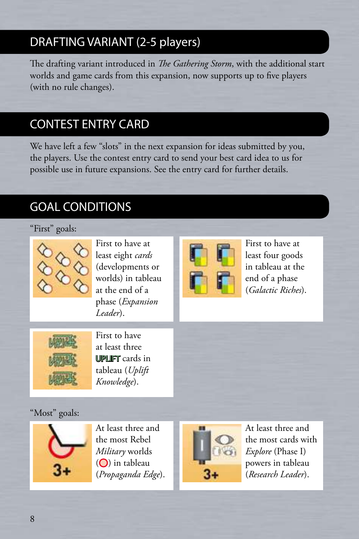# DRAFTING VARIANT (2-5 players)

The drafting variant introduced in *The Gathering Storm*, with the additional start worlds and game cards from this expansion, now supports up to five players (with no rule changes).

# CONTEST ENTRY CARD

We have left a few "slots" in the next expansion for ideas submitted by you, the players. Use the contest entry card to send your best card idea to us for possible use in future expansions. See the entry card for further details.

# GOAL CONDITIONS

#### "First" goals:



First to have at least eight *cards* (developments or worlds) in tableau at the end of a phase (*Expansion Leader*).



First to have at least four goods in tableau at the end of a phase (*Galactic Riches*).



First to have at least three UPLIFT cards in tableau (*Uplift Knowledge*).

#### "Most" goals:



At least three and the most Rebel *Military* worlds  $(O)$  in tableau (*Propaganda Edge*).



At least three and the most cards with *Explore* (Phase I) powers in tableau (*Research Leader*).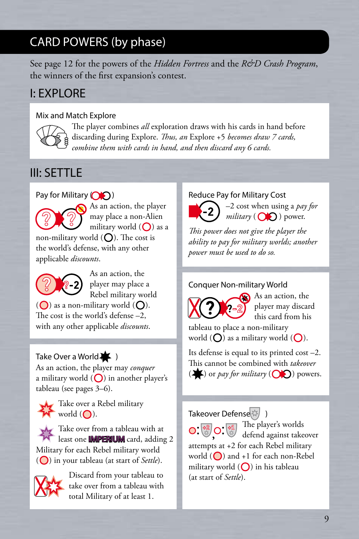# CARD POWERS (by phase)

See page 12 for the powers of the *Hidden Fortress* and the *R&D Crash Program*, the winners of the first expansion's contest.

## I: EXPLORE

#### Mix and Match Explore



The player combines *all* exploration draws with his cards in hand before discarding during Explore. *Thus, an* Explore +5 *becomes draw 7 cards, combine them with cards in hand, and then discard any 6 cards.*

# III: SETTLE

Pay for Military  $\circ$ 



As an action, the player may place a non-Alien military world  $\left(\bigcap\right)$  as a non-military world  $\left(\bigcap\right)$ . The cost is

the world's defense, with any other applicable *discounts*.



As an action, the player may place a Rebel military world

 $\overline{O}$ ) as a non-military world  $\overline{O}$ ). The cost is the world's defense –2, with any other applicable *discounts*.

#### Take Over a World $\blacktriangleright$  )

As an action, the player may *conquer* a military world  $\left(\bigcirc\right)$  in another player's tableau (see pages 3–6).



Take over a Rebel military  $W$  world  $($ .

 $\lambda$  Take over from a tableau with at least one **IMPERIUM** card, adding 2 Military for each Rebel military world ( $\bigcirc$ ) in your tableau (at start of *Settle*).



Discard from your tableau to take over from a tableau with total Military of at least 1.

#### Reduce Pay for Military Cost

–2 cost when using a *pay for*  $mili tary$  ( $\bigcirc$ ) power.

*This power does not give the player the ability to pay for military worlds; another power must be used to do so.*

#### Conquer Non-military World



As an action, the player may discard this card from his

tableau to place a non-military world  $(O)$  as a military world  $(O)$ .

Its defense is equal to its printed cost –2. This cannot be combined with *takeover*  $\left(\bigstar\right)$  or *pay for military*  $\left(\bigcirc\right)$  powers.

Takeover Defense

The player's worlds defend against takeover attempts at +2 for each Rebel military world  $\left(\bigcirc\right)$  and +1 for each non-Rebel military world  $\left(\bigcap\right)$  in his tableau (at start of *Settle*).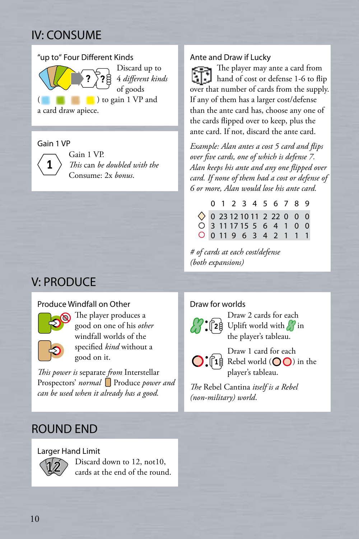# IV: CONSUME



#### Gain 1 VP



Gain 1 VP. *This* can *be doubled with the* Consume: 2x *bonus*.

# V: PRODUCE

#### Produce Windfall on Other



The player produces a good on one of his *other* windfall worlds of the specified *kind* without a good on it.

*This power is* separate *from* Interstellar Prospectors' *normal* Produce *power and can be used when it already has a good.*

#### ROUND END

#### Larger Hand Limit



Discard down to 12, not10, cards at the end of the round.

#### Ante and Draw if Lucky

The player may ante a card from hand of cost or defense 1-6 to flip over that number of cards from the supply. If any of them has a larger cost/defense than the ante card has, choose any one of the cards flipped over to keep, plus the ante card. If not, discard the ante card.

*Example: Alan antes a cost 5 card and flips over five cards, one of which is defense 7. Alan keeps his ante and any one flipped over card. If none of them had a cost or defense of 6 or more, Alan would lose his ante card.*

|  |  |  | 0 1 2 3 4 5 6 7 8 9                 |  |  |
|--|--|--|-------------------------------------|--|--|
|  |  |  | $\Diamond$ 0 23 12 10 11 2 22 0 0 0 |  |  |
|  |  |  | $0$ 3 11 17 15 5 6 4 1 0 0          |  |  |
|  |  |  | 0 0 11 9 6 3 4 2 1 1 1              |  |  |

*# of cards at each cost/defense (both expansions)*

#### Draw for worlds



Draw 2 cards for each Uplift world with  $\frac{1}{\sqrt{2}}$  in the player's tableau.

Draw 1 card for each  $\bigcirc$ :  $\lceil 1\frac{3}{5}\rceil$  Rebel world  $\left(\bigcirc \bigcirc$  in the player's tableau.

*The* Rebel Cantina *itself is a Rebel (non-military) world*.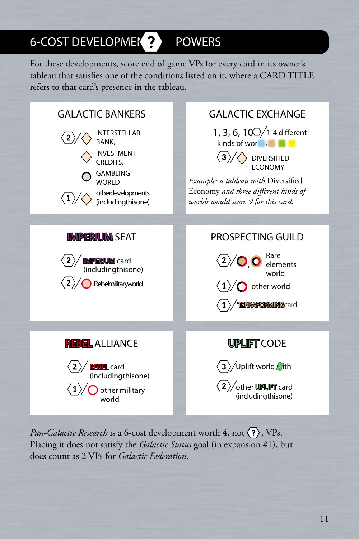# 6-COST DEVELOPMEK ? POWERS

For these developments, score end of game VPs for every card in its owner's tableau that satisfies one of the conditions listed on it, where a CARD TITLE refers to that card's presence in the tableau.



*Pan-Galactic Research* is a 6-cost development worth 4, not  $\langle \overline{\cdot} \rangle$ , VPs. Placing it does not satisfy the *Galactic Status* goal (in expansion #1), but does count as 2 VPs for *Galactic Federation*.